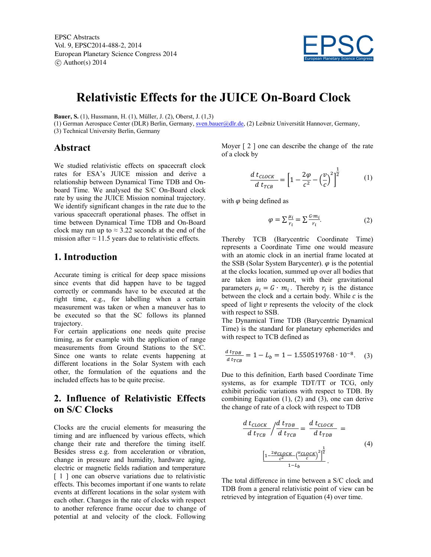EPSC Abstracts Vol. 9, EPSC2014-488-2, 2014 European Planetary Science Congress 2014  $\circ$  Author(s) 2014



ଵ

# **Relativistic Effects for the JUICE On-Board Clock**

**Bauer, S.** (1), Hussmann, H. (1), Müller, J. (2), Oberst, J. (1,3)

(1) German Aerospace Center (DLR) Berlin, Germany, sven.bauer@dlr.de, (2) Leibniz Universität Hannover, Germany,

(3) Technical University Berlin, Germany

#### **Abstract**

We studied relativistic effects on spacecraft clock rates for ESA's JUICE mission and derive a relationship between Dynamical Time TDB and Onboard Time. We analysed the S/C On-Board clock rate by using the JUICE Mission nominal trajectory. We identify significant changes in the rate due to the various spacecraft operational phases. The offset in time between Dynamical Time TDB and On-Board clock may run up to  $\approx$  3.22 seconds at the end of the mission after  $\approx$  11.5 years due to relativistic effects.

# **1. Introduction**

Accurate timing is critical for deep space missions since events that did happen have to be tagged correctly or commands have to be executed at the right time, e.g., for labelling when a certain measurement was taken or when a maneuver has to be executed so that the SC follows its planned trajectory.

For certain applications one needs quite precise timing, as for example with the application of range measurements from Ground Stations to the S/C. Since one wants to relate events happening at different locations in the Solar System with each other, the formulation of the equations and the included effects has to be quite precise.

# **2. Influence of Relativistic Effects on S/C Clocks**

Clocks are the crucial elements for measuring the timing and are influenced by various effects, which change their rate and therefore the timing itself. Besides stress e.g. from acceleration or vibration, change in pressure and humidity, hardware aging, electric or magnetic fields radiation and temperature [ 1 ] one can observe variations due to relativistic effects. This becomes important if one wants to relate events at different locations in the solar system with each other. Changes in the rate of clocks with respect to another reference frame occur due to change of potential at and velocity of the clock. Following

Moyer  $\lceil 2 \rceil$  one can describe the change of the rate of a clock by

$$
\frac{d\ t_{\text{CLOCK}}}{d\ t_{\text{TCB}}} = \left[1 - \frac{2\varphi}{c^2} - \left(\frac{v}{c}\right)^2\right]^{\frac{1}{2}}\tag{1}
$$

with  $\varphi$  being defined as

$$
\varphi = \sum \frac{\mu_i}{r_i} = \sum \frac{G \cdot m_i}{r_i}.\tag{2}
$$

Thereby TCB (Barycentric Coordinate Time) represents a Coordinate Time one would measure with an atomic clock in an inertial frame located at the SSB (Solar System Barycenter).  $\varphi$  is the potential at the clocks location, summed up over all bodies that are taken into account, with their gravitational parameters  $\mu_i = G \cdot m_i$ . Thereby  $r_i$  is the distance between the clock and a certain body. While  $c$  is the speed of light  $\nu$  represents the velocity of the clock with respect to SSB.

The Dynamical Time TDB (Barycentric Dynamical Time) is the standard for planetary ephemerides and with respect to TCB defined as

$$
\frac{d \, t_{TDB}}{d \, t_{TCB}} = 1 - L_b = 1 - 1.550519768 \cdot 10^{-8}. \tag{3}
$$

Due to this definition, Earth based Coordinate Time systems, as for example TDT/TT or TCG, only exhibit periodic variations with respect to TDB. By combining Equation (1), (2) and (3), one can derive the change of rate of a clock with respect to TDB

$$
\frac{d \ t_{\text{CLOCK}}}{d \ t_{\text{TCB}}}/\frac{d \ t_{\text{TDB}}}{d \ t_{\text{TCB}}} = \frac{d \ t_{\text{CLOCK}}}{d \ t_{\text{TDB}}} = \frac{1 - \frac{2\varphi_{\text{CLOCK}}}{c^2} \left(\frac{\varphi_{\text{CLOCK}}}{c}\right)^2}{1 - L_b} \tag{4}
$$

The total difference in time between a S/C clock and TDB from a general relativistic point of view can be retrieved by integration of Equation (4) over time.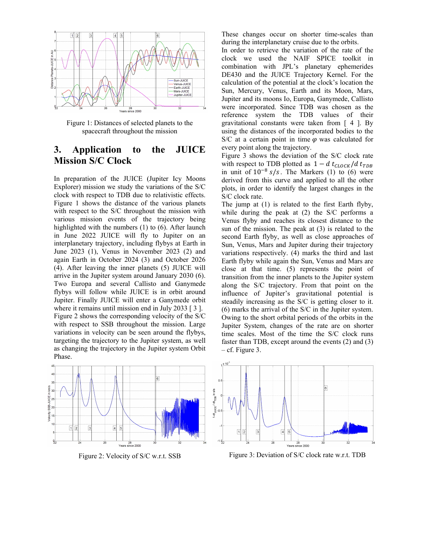

Figure 1: Distances of selected planets to the spacecraft throughout the mission

# **3. Application to the JUICE Mission S/C Clock**

In preparation of the JUICE (Jupiter Icy Moons Explorer) mission we study the variations of the S/C clock with respect to TDB due to relativistic effects. Figure 1 shows the distance of the various planets with respect to the S/C throughout the mission with various mission events of the trajectory being highlighted with the numbers (1) to (6). After launch in June 2022 JUICE will fly to Jupiter on an interplanetary trajectory, including flybys at Earth in June 2023 (1), Venus in November 2023 (2) and again Earth in October 2024 (3) and October 2026 (4). After leaving the inner planets (5) JUICE will arrive in the Jupiter system around January 2030 (6). Two Europa and several Callisto and Ganymede flybys will follow while JUICE is in orbit around Jupiter. Finally JUICE will enter a Ganymede orbit where it remains until mission end in July 2033 [ 3 ]. Figure 2 shows the corresponding velocity of the S/C with respect to SSB throughout the mission. Large variations in velocity can be seen around the flybys, targeting the trajectory to the Jupiter system, as well as changing the trajectory in the Jupiter system Orbit Phase.



Figure 2: Velocity of S/C w.r.t. SSB

These changes occur on shorter time-scales than during the interplanetary cruise due to the orbits.

In order to retrieve the variation of the rate of the clock we used the NAIF SPICE toolkit in combination with JPL's planetary ephemerides DE430 and the JUICE Trajectory Kernel. For the calculation of the potential at the clock's location the Sun, Mercury, Venus, Earth and its Moon, Mars, Jupiter and its moons Io, Europa, Ganymede, Callisto were incorporated. Since TDB was chosen as the reference system the TDB values of their gravitational constants were taken from [ 4 ]. By using the distances of the incorporated bodies to the S/C at a certain point in time  $\varphi$  was calculated for every point along the trajectory.

Figure 3 shows the deviation of the S/C clock rate with respect to TDB plotted as  $1 - d t_{\text{CLOCK}}/d t_{\text{TDB}}$ in unit of  $10^{-8}$  s/s. The Markers (1) to (6) were derived from this curve and applied to all the other plots, in order to identify the largest changes in the S/C clock rate.

The jump at (1) is related to the first Earth flyby, while during the peak at (2) the S/C performs a Venus flyby and reaches its closest distance to the sun of the mission. The peak at (3) is related to the second Earth flyby, as well as close approaches of Sun, Venus, Mars and Jupiter during their trajectory variations respectively. (4) marks the third and last Earth flyby while again the Sun, Venus and Mars are close at that time. (5) represents the point of transition from the inner planets to the Jupiter system along the S/C trajectory. From that point on the influence of Jupiter's gravitational potential is steadily increasing as the S/C is getting closer to it. (6) marks the arrival of the S/C in the Jupiter system. Owing to the short orbital periods of the orbits in the Jupiter System, changes of the rate are on shorter time scales. Most of the time the S/C clock runs faster than TDB, except around the events (2) and (3) – cf. Figure 3.



Figure 3: Deviation of S/C clock rate w.r.t. TDB